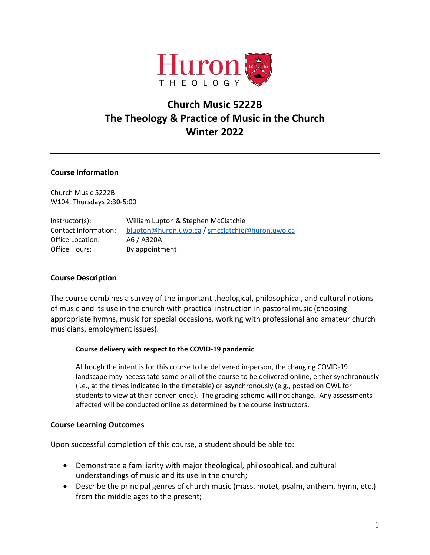

# **Church Music 5222B The Theology & Practice of Music in the Church Winter 2022**

### **Course Information**

Church Music 5222B W104, Thursdays 2:30-5:00

| Instructor(s):       | William Lupton & Stephen McClatchie             |  |
|----------------------|-------------------------------------------------|--|
| Contact Information: | blupton@huron.uwo.ca / smcclatchie@huron.uwo.ca |  |
| Office Location:     | A6 / A320A                                      |  |
| Office Hours:        | By appointment                                  |  |

# **Course Description**

The course combines a survey of the important theological, philosophical, and cultural notions of music and its use in the church with practical instruction in pastoral music (choosing appropriate hymns, music for special occasions, working with professional and amateur church musicians, employment issues).

### **Course delivery with respect to the COVID-19 pandemic**

Although the intent is for this course to be delivered in-person, the changing COVID-19 landscape may necessitate some or all of the course to be delivered online, either synchronously (i.e., at the times indicated in the timetable) or asynchronously (e.g., posted on OWL for students to view at their convenience). The grading scheme will not change. Any assessments affected will be conducted online as determined by the course instructors.

### **Course Learning Outcomes**

Upon successful completion of this course, a student should be able to:

- Demonstrate a familiarity with major theological, philosophical, and cultural understandings of music and its use in the church;
- Describe the principal genres of church music (mass, motet, psalm, anthem, hymn, etc.) from the middle ages to the present;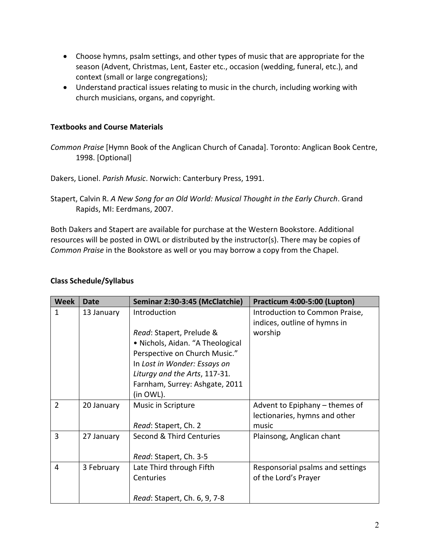- Choose hymns, psalm settings, and other types of music that are appropriate for the season (Advent, Christmas, Lent, Easter etc., occasion (wedding, funeral, etc.), and context (small or large congregations);
- Understand practical issues relating to music in the church, including working with church musicians, organs, and copyright.

# **Textbooks and Course Materials**

*Common Praise* [Hymn Book of the Anglican Church of Canada]. Toronto: Anglican Book Centre, 1998. [Optional]

Dakers, Lionel. *Parish Music*. Norwich: Canterbury Press, 1991.

Stapert, Calvin R. *A New Song for an Old World: Musical Thought in the Early Church*. Grand Rapids, MI: Eerdmans, 2007.

Both Dakers and Stapert are available for purchase at the Western Bookstore. Additional resources will be posted in OWL or distributed by the instructor(s). There may be copies of *Common Praise* in the Bookstore as well or you may borrow a copy from the Chapel.

# **Class Schedule/Syllabus**

| <b>Week</b>    | Date       | Seminar 2:30-3:45 (McClatchie)   | Practicum 4:00-5:00 (Lupton)     |
|----------------|------------|----------------------------------|----------------------------------|
| 1              | 13 January | Introduction                     | Introduction to Common Praise,   |
|                |            |                                  | indices, outline of hymns in     |
|                |            | Read: Stapert, Prelude &         | worship                          |
|                |            | • Nichols, Aidan. "A Theological |                                  |
|                |            | Perspective on Church Music."    |                                  |
|                |            | In Lost in Wonder: Essays on     |                                  |
|                |            | Liturgy and the Arts, 117-31.    |                                  |
|                |            | Farnham, Surrey: Ashgate, 2011   |                                  |
|                |            | (in OWL).                        |                                  |
| $\overline{2}$ | 20 January | Music in Scripture               | Advent to Epiphany – themes of   |
|                |            |                                  | lectionaries, hymns and other    |
|                |            | Read: Stapert, Ch. 2             | music                            |
| 3              | 27 January | Second & Third Centuries         | Plainsong, Anglican chant        |
|                |            |                                  |                                  |
|                |            | Read: Stapert, Ch. 3-5           |                                  |
| 4              | 3 February | Late Third through Fifth         | Responsorial psalms and settings |
|                |            | Centuries                        | of the Lord's Prayer             |
|                |            |                                  |                                  |
|                |            | Read: Stapert, Ch. 6, 9, 7-8     |                                  |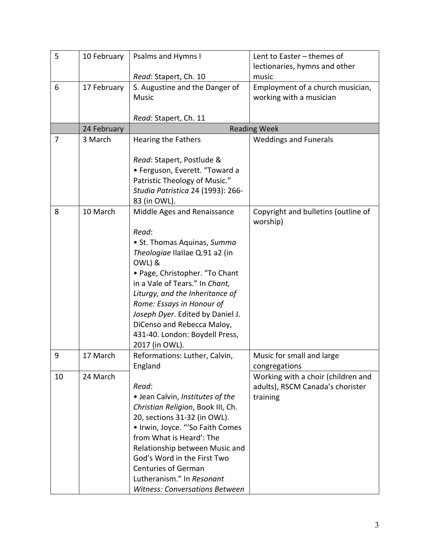| 5  | 10 February | <b>Psalms and Hymns I</b>             | Lent to Easter - themes of                          |
|----|-------------|---------------------------------------|-----------------------------------------------------|
|    |             |                                       | lectionaries, hymns and other                       |
|    |             | Read: Stapert, Ch. 10                 | music                                               |
| 6  | 17 February | S. Augustine and the Danger of        | Employment of a church musician,                    |
|    |             | <b>Music</b>                          | working with a musician                             |
|    |             | Read: Stapert, Ch. 11                 |                                                     |
|    | 24 February |                                       | <b>Reading Week</b>                                 |
| 7  | 3 March     | <b>Hearing the Fathers</b>            | <b>Weddings and Funerals</b>                        |
|    |             |                                       |                                                     |
|    |             | Read: Stapert, Postlude &             |                                                     |
|    |             | • Ferguson, Everett. "Toward a        |                                                     |
|    |             | Patristic Theology of Music."         |                                                     |
|    |             | Studia Patristica 24 (1993): 266-     |                                                     |
|    |             | 83 (in OWL).                          |                                                     |
| 8  | 10 March    | Middle Ages and Renaissance           | Copyright and bulletins (outline of                 |
|    |             |                                       | worship)                                            |
|    |             | Read:                                 |                                                     |
|    |             | • St. Thomas Aquinas, Summa           |                                                     |
|    |             | Theologiae IIallae Q.91 a2 (in        |                                                     |
|    |             | OWL) &                                |                                                     |
|    |             | • Page, Christopher. "To Chant        |                                                     |
|    |             | in a Vale of Tears." In Chant,        |                                                     |
|    |             | Liturgy, and the Inheritance of       |                                                     |
|    |             | Rome: Essays in Honour of             |                                                     |
|    |             | Joseph Dyer. Edited by Daniel J.      |                                                     |
|    |             | DiCenso and Rebecca Maloy,            |                                                     |
|    |             | 431-40. London: Boydell Press,        |                                                     |
|    |             | 2017 (in OWL).                        |                                                     |
| 9  | 17 March    | Reformations: Luther, Calvin,         | Music for small and large                           |
| 10 | 24 March    | England                               | congregations<br>Working with a choir (children and |
|    |             | Read:                                 | adults), RSCM Canada's chorister                    |
|    |             | • Jean Calvin, Institutes of the      | training                                            |
|    |             | Christian Religion, Book III, Ch.     |                                                     |
|    |             | 20, sections 31-32 (in OWL).          |                                                     |
|    |             | • Irwin, Joyce. "'So Faith Comes      |                                                     |
|    |             | from What is Heard': The              |                                                     |
|    |             | Relationship between Music and        |                                                     |
|    |             | God's Word in the First Two           |                                                     |
|    |             | <b>Centuries of German</b>            |                                                     |
|    |             | Lutheranism." In Resonant             |                                                     |
|    |             | <b>Witness: Conversations Between</b> |                                                     |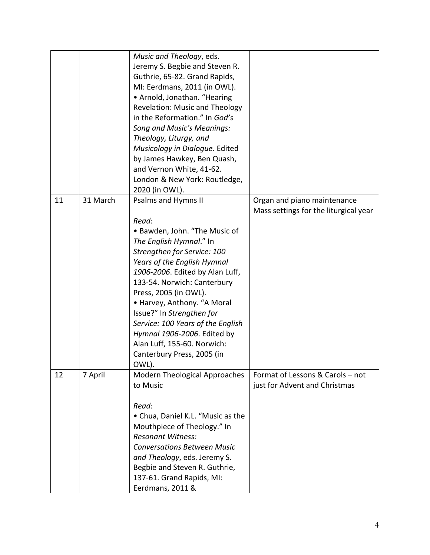|    |          | Music and Theology, eds.<br>Jeremy S. Begbie and Steven R.<br>Guthrie, 65-82. Grand Rapids,<br>MI: Eerdmans, 2011 (in OWL).<br>• Arnold, Jonathan. "Hearing<br><b>Revelation: Music and Theology</b><br>in the Reformation." In God's<br><b>Song and Music's Meanings:</b><br>Theology, Liturgy, and<br>Musicology in Dialogue. Edited<br>by James Hawkey, Ben Quash,<br>and Vernon White, 41-62.<br>London & New York: Routledge,<br>2020 (in OWL).           |                                                                      |
|----|----------|----------------------------------------------------------------------------------------------------------------------------------------------------------------------------------------------------------------------------------------------------------------------------------------------------------------------------------------------------------------------------------------------------------------------------------------------------------------|----------------------------------------------------------------------|
| 11 | 31 March | <b>Psalms and Hymns II</b><br>Read:<br>• Bawden, John. "The Music of<br>The English Hymnal." In<br>Strengthen for Service: 100<br>Years of the English Hymnal<br>1906-2006. Edited by Alan Luff,<br>133-54. Norwich: Canterbury<br>Press, 2005 (in OWL).<br>• Harvey, Anthony. "A Moral<br>Issue?" In Strengthen for<br>Service: 100 Years of the English<br>Hymnal 1906-2006. Edited by<br>Alan Luff, 155-60. Norwich:<br>Canterbury Press, 2005 (in<br>OWL). | Organ and piano maintenance<br>Mass settings for the liturgical year |
| 12 | 7 April  | <b>Modern Theological Approaches</b><br>to Music<br>Read:<br>• Chua, Daniel K.L. "Music as the<br>Mouthpiece of Theology." In<br><b>Resonant Witness:</b><br><b>Conversations Between Music</b><br>and Theology, eds. Jeremy S.<br>Begbie and Steven R. Guthrie,<br>137-61. Grand Rapids, MI:<br>Eerdmans, 2011 &                                                                                                                                              | Format of Lessons & Carols - not<br>just for Advent and Christmas    |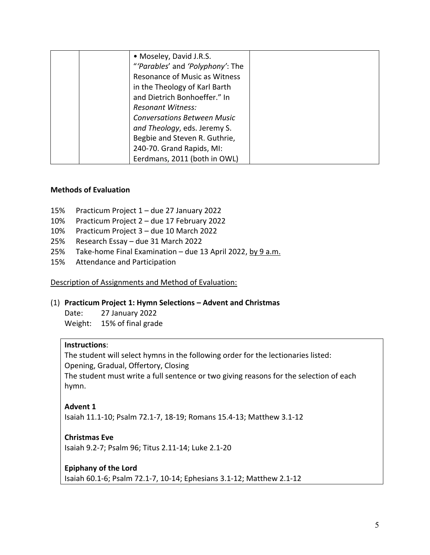| • Moseley, David J.R.S.            |  |
|------------------------------------|--|
| "'Parables' and 'Polyphony': The   |  |
| Resonance of Music as Witness      |  |
| in the Theology of Karl Barth      |  |
| and Dietrich Bonhoeffer." In       |  |
| <b>Resonant Witness:</b>           |  |
| <b>Conversations Between Music</b> |  |
| and Theology, eds. Jeremy S.       |  |
| Begbie and Steven R. Guthrie,      |  |
| 240-70. Grand Rapids, MI:          |  |
| Eerdmans, 2011 (both in OWL)       |  |

### **Methods of Evaluation**

- 15% Practicum Project 1 due 27 January 2022
- 10% Practicum Project 2 due 17 February 2022
- 10% Practicum Project 3 due 10 March 2022
- 25% Research Essay due 31 March 2022
- 25% Take-home Final Examination due 13 April 2022, by 9 a.m.
- 15% Attendance and Participation

Description of Assignments and Method of Evaluation:

### (1) **Practicum Project 1: Hymn Selections – Advent and Christmas**

Date: 27 January 2022 Weight: 15% of final grade

### **Instructions**:

The student will select hymns in the following order for the lectionaries listed: Opening, Gradual, Offertory, Closing The student must write a full sentence or two giving reasons for the selection of each hymn.

### **Advent 1**

Isaiah 11.1-10; Psalm 72.1-7, 18-19; Romans 15.4-13; Matthew 3.1-12

### **Christmas Eve**

Isaiah 9.2-7; Psalm 96; Titus 2.11-14; Luke 2.1-20

### **Epiphany of the Lord**

Isaiah 60.1-6; Psalm 72.1-7, 10-14; Ephesians 3.1-12; Matthew 2.1-12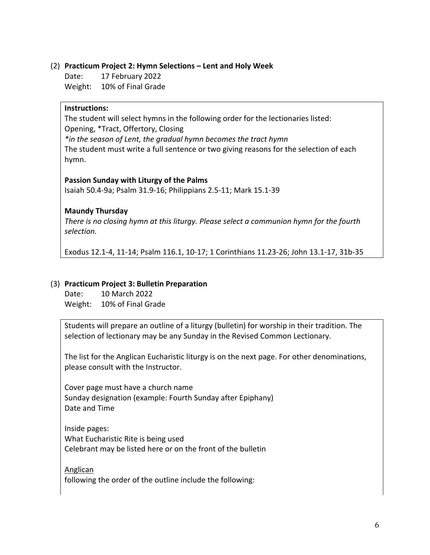### (2) **Practicum Project 2: Hymn Selections – Lent and Holy Week**

Date: 17 February 2022

Weight: 10% of Final Grade

# **Instructions:**

The student will select hymns in the following order for the lectionaries listed: Opening, \*Tract, Offertory, Closing *\*in the season of Lent, the gradual hymn becomes the tract hymn* The student must write a full sentence or two giving reasons for the selection of each

hymn.

### **Passion Sunday with Liturgy of the Palms**

Isaiah 50.4-9a; Psalm 31.9-16; Philippians 2.5-11; Mark 15.1-39

# **Maundy Thursday**

*There is no closing hymn at this liturgy. Please select a communion hymn for the fourth selection.*

Exodus 12.1-4, 11-14; Psalm 116.1, 10-17; 1 Corinthians 11.23-26; John 13.1-17, 31b-35

# (3) **Practicum Project 3: Bulletin Preparation**

Date: 10 March 2022 Weight: 10% of Final Grade

Students will prepare an outline of a liturgy (bulletin) for worship in their tradition. The selection of lectionary may be any Sunday in the Revised Common Lectionary.

The list for the Anglican Eucharistic liturgy is on the next page. For other denominations, please consult with the Instructor.

Cover page must have a church name Sunday designation (example: Fourth Sunday after Epiphany) Date and Time

Inside pages: What Eucharistic Rite is being used Celebrant may be listed here or on the front of the bulletin

**Anglican** following the order of the outline include the following: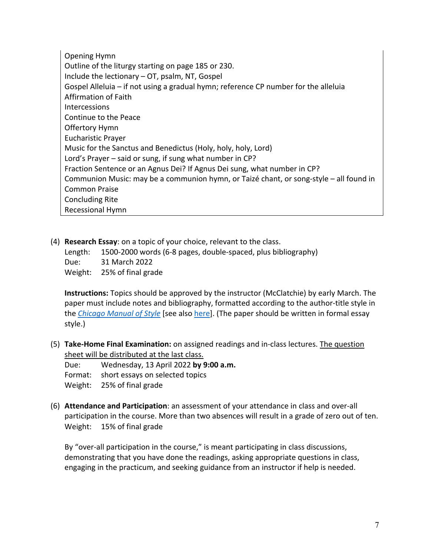Opening Hymn Outline of the liturgy starting on page 185 or 230. Include the lectionary – OT, psalm, NT, Gospel Gospel Alleluia – if not using a gradual hymn; reference CP number for the alleluia Affirmation of Faith Intercessions Continue to the Peace Offertory Hymn Eucharistic Prayer Music for the Sanctus and Benedictus (Holy, holy, holy, Lord) Lord's Prayer – said or sung, if sung what number in CP? Fraction Sentence or an Agnus Dei? If Agnus Dei sung, what number in CP? Communion Music: may be a communion hymn, or Taizé chant, or song-style – all found in Common Praise Concluding Rite Recessional Hymn

(4) **Research Essay**: on a topic of your choice, relevant to the class.

Length: 1500-2000 words (6-8 pages, double-spaced, plus bibliography)

Due: 31 March 2022

Weight: 25% of final grade

**Instructions:** Topics should be approved by the instructor (McClatchie) by early March. The paper must include notes and bibliography, formatted according to the author-title style in the *Chicago Manual of Style* [see also here]. (The paper should be written in formal essay style.)

(5) **Take-Home Final Examination:** on assigned readings and in-class lectures. The question sheet will be distributed at the last class.

Due: Wednesday, 13 April 2022 **by 9:00 a.m.** 

Format: short essays on selected topics

Weight: 25% of final grade

(6) **Attendance and Participation**: an assessment of your attendance in class and over-all participation in the course. More than two absences will result in a grade of zero out of ten. Weight: 15% of final grade

By "over-all participation in the course," is meant participating in class discussions, demonstrating that you have done the readings, asking appropriate questions in class, engaging in the practicum, and seeking guidance from an instructor if help is needed.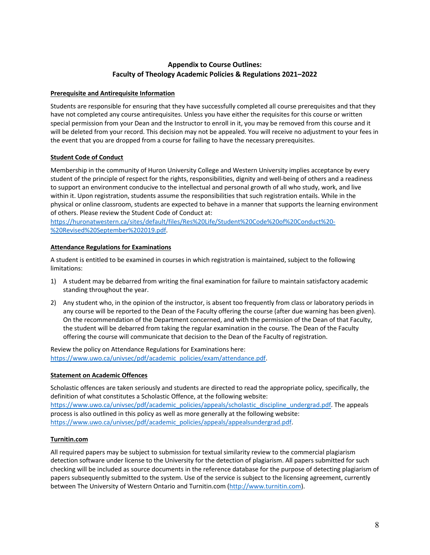### **Appendix to Course Outlines: Faculty of Theology Academic Policies & Regulations 2021–2022**

#### **Prerequisite and Antirequisite Information**

Students are responsible for ensuring that they have successfully completed all course prerequisites and that they have not completed any course antirequisites. Unless you have either the requisites for this course or written special permission from your Dean and the Instructor to enroll in it, you may be removed from this course and it will be deleted from your record. This decision may not be appealed. You will receive no adjustment to your fees in the event that you are dropped from a course for failing to have the necessary prerequisites.

### **Student Code of Conduct**

Membership in the community of Huron University College and Western University implies acceptance by every student of the principle of respect for the rights, responsibilities, dignity and well-being of others and a readiness to support an environment conducive to the intellectual and personal growth of all who study, work, and live within it. Upon registration, students assume the responsibilities that such registration entails. While in the physical or online classroom, students are expected to behave in a manner that supports the learning environment of others. Please review the Student Code of Conduct at:

https://huronatwestern.ca/sites/default/files/Res%20Life/Student%20Code%20of%20Conduct%20- %20Revised%20September%202019.pdf.

### **Attendance Regulations for Examinations**

A student is entitled to be examined in courses in which registration is maintained, subject to the following limitations:

- 1) A student may be debarred from writing the final examination for failure to maintain satisfactory academic standing throughout the year.
- 2) Any student who, in the opinion of the instructor, is absent too frequently from class or laboratory periods in any course will be reported to the Dean of the Faculty offering the course (after due warning has been given). On the recommendation of the Department concerned, and with the permission of the Dean of that Faculty, the student will be debarred from taking the regular examination in the course. The Dean of the Faculty offering the course will communicate that decision to the Dean of the Faculty of registration.

Review the policy on Attendance Regulations for Examinations here: https://www.uwo.ca/univsec/pdf/academic\_policies/exam/attendance.pdf.

#### **Statement on Academic Offences**

Scholastic offences are taken seriously and students are directed to read the appropriate policy, specifically, the definition of what constitutes a Scholastic Offence, at the following website: https://www.uwo.ca/univsec/pdf/academic\_policies/appeals/scholastic\_discipline\_undergrad.pdf. The appeals process is also outlined in this policy as well as more generally at the following website: https://www.uwo.ca/univsec/pdf/academic\_policies/appeals/appealsundergrad.pdf.

#### **Turnitin.com**

All required papers may be subject to submission for textual similarity review to the commercial plagiarism detection software under license to the University for the detection of plagiarism. All papers submitted for such checking will be included as source documents in the reference database for the purpose of detecting plagiarism of papers subsequently submitted to the system. Use of the service is subject to the licensing agreement, currently between The University of Western Ontario and Turnitin.com (http://www.turnitin.com).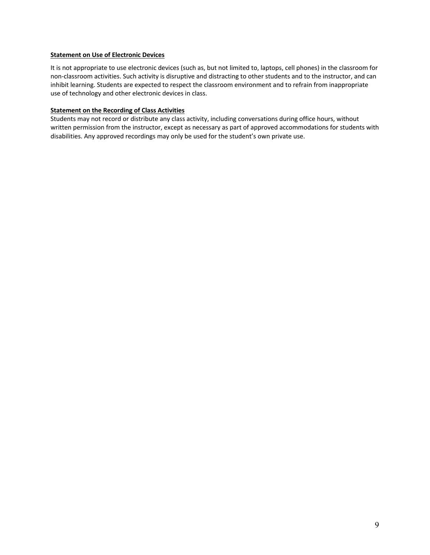#### **Statement on Use of Electronic Devices**

It is not appropriate to use electronic devices (such as, but not limited to, laptops, cell phones) in the classroom for non-classroom activities. Such activity is disruptive and distracting to other students and to the instructor, and can inhibit learning. Students are expected to respect the classroom environment and to refrain from inappropriate use of technology and other electronic devices in class.

#### **Statement on the Recording of Class Activities**

Students may not record or distribute any class activity, including conversations during office hours, without written permission from the instructor, except as necessary as part of approved accommodations for students with disabilities. Any approved recordings may only be used for the student's own private use.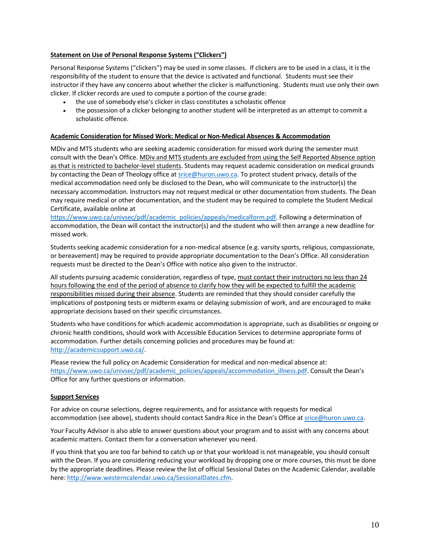#### **Statement on Use of Personal Response Systems ("Clickers")**

Personal Response Systems ("clickers") may be used in some classes. If clickers are to be used in a class, it is the responsibility of the student to ensure that the device is activated and functional. Students must see their instructor if they have any concerns about whether the clicker is malfunctioning. Students must use only their own clicker. If clicker records are used to compute a portion of the course grade:

- the use of somebody else's clicker in class constitutes a scholastic offence
- the possession of a clicker belonging to another student will be interpreted as an attempt to commit a scholastic offence.

### **Academic Consideration for Missed Work: Medical or Non-Medical Absences & Accommodation**

MDiv and MTS students who are seeking academic consideration for missed work during the semester must consult with the Dean's Office. MDiv and MTS students are excluded from using the Self Reported Absence option as that is restricted to bachelor-level students. Students may request academic consideration on medical grounds by contacting the Dean of Theology office at srice@huron.uwo.ca. To protect student privacy, details of the medical accommodation need only be disclosed to the Dean, who will communicate to the instructor(s) the necessary accommodation. Instructors may not request medical or other documentation from students. The Dean may require medical or other documentation, and the student may be required to complete the Student Medical Certificate, available online at

https://www.uwo.ca/univsec/pdf/academic\_policies/appeals/medicalform.pdf. Following a determination of accommodation, the Dean will contact the instructor(s) and the student who will then arrange a new deadline for missed work.

Students seeking academic consideration for a non-medical absence (e.g. varsity sports, religious, compassionate, or bereavement) may be required to provide appropriate documentation to the Dean's Office. All consideration requests must be directed to the Dean's Office with notice also given to the instructor.

All students pursuing academic consideration, regardless of type, must contact their instructors no less than 24 hours following the end of the period of absence to clarify how they will be expected to fulfill the academic responsibilities missed during their absence. Students are reminded that they should consider carefully the implications of postponing tests or midterm exams or delaying submission of work, and are encouraged to make appropriate decisions based on their specific circumstances.

Students who have conditions for which academic accommodation is appropriate, such as disabilities or ongoing or chronic health conditions, should work with Accessible Education Services to determine appropriate forms of accommodation. Further details concerning policies and procedures may be found at: http://academicsupport.uwo.ca/.

Please review the full policy on Academic Consideration for medical and non-medical absence at: https://www.uwo.ca/univsec/pdf/academic\_policies/appeals/accommodation\_illness.pdf. Consult the Dean's Office for any further questions or information.

#### **Support Services**

For advice on course selections, degree requirements, and for assistance with requests for medical accommodation (see above), students should contact Sandra Rice in the Dean's Office at srice@huron.uwo.ca.

Your Faculty Advisor is also able to answer questions about your program and to assist with any concerns about academic matters. Contact them for a conversation whenever you need.

If you think that you are too far behind to catch up or that your workload is not manageable, you should consult with the Dean. If you are considering reducing your workload by dropping one or more courses, this must be done by the appropriate deadlines. Please review the list of official Sessional Dates on the Academic Calendar, available here: http://www.westerncalendar.uwo.ca/SessionalDates.cfm.